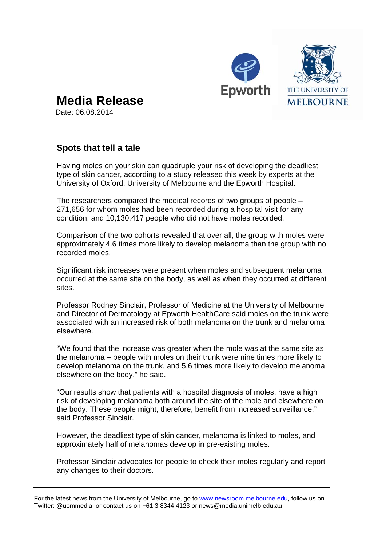



**Media Release** 

Date: 06.08.2014

## **Spots that tell a tale**

Having moles on your skin can quadruple your risk of developing the deadliest type of skin cancer, according to a study released this week by experts at the University of Oxford, University of Melbourne and the Epworth Hospital.

The researchers compared the medical records of two groups of people – 271,656 for whom moles had been recorded during a hospital visit for any condition, and 10,130,417 people who did not have moles recorded.

Comparison of the two cohorts revealed that over all, the group with moles were approximately 4.6 times more likely to develop melanoma than the group with no recorded moles.

Significant risk increases were present when moles and subsequent melanoma occurred at the same site on the body, as well as when they occurred at different sites.

Professor Rodney Sinclair, Professor of Medicine at the University of Melbourne and Director of Dermatology at Epworth HealthCare said moles on the trunk were associated with an increased risk of both melanoma on the trunk and melanoma elsewhere.

"We found that the increase was greater when the mole was at the same site as the melanoma – people with moles on their trunk were nine times more likely to develop melanoma on the trunk, and 5.6 times more likely to develop melanoma elsewhere on the body," he said.

"Our results show that patients with a hospital diagnosis of moles, have a high risk of developing melanoma both around the site of the mole and elsewhere on the body. These people might, therefore, benefit from increased surveillance," said Professor Sinclair.

However, the deadliest type of skin cancer, melanoma is linked to moles, and approximately half of melanomas develop in pre-existing moles.

Professor Sinclair advocates for people to check their moles regularly and report any changes to their doctors.

For the latest news from the University of Melbourne, go to www.newsroom.melbourne.edu, follow us on Twitter: @uommedia, or contact us on +61 3 8344 4123 or news@media.unimelb.edu.au